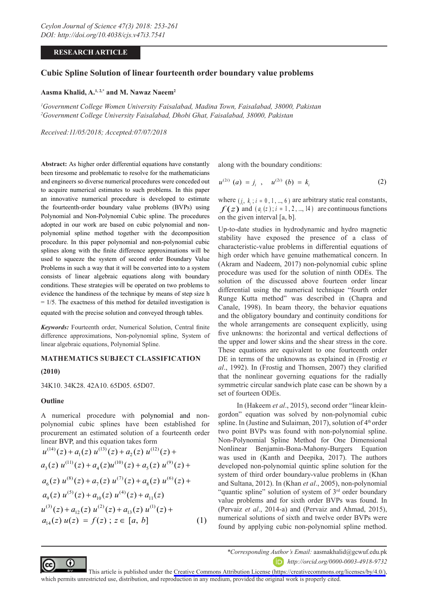# **RESEARCH ARTICLE**

# **Cubic Spline Solution of linear fourteenth order boundary value problems**

# **Aasma Khalid, A.1, 2,\* and M. Nawaz Naeem2**

*1 Government College Women University Faisalabad, Madina Town, Faisalabad, 38000, Pakistan 2 Government College University Faisalabad, Dhobi Ghat, Faisalabad, 38000, Pakistan*

*Received:11/05/2018; Accepted:07/07/2018*

**Abstract:** As higher order differential equations have constantly been tiresome and problematic to resolve for the mathematicians and engineers so diverse numerical procedures were conceded out to acquire numerical estimates to such problems. In this paper an innovative numerical procedure is developed to estimate the fourteenth-order boundary value problems (BVPs) using Polynomial and Non-Polynomial Cubic spline. The procedures adopted in our work are based on cubic polynomial and nonpolynomial spline method together with the decomposition procedure. In this paper polynomial and non-polynomial cubic splines along with the finite difference approximations will be used to squeeze the system of second order Boundary Value Problems in such a way that it will be converted into to a system consists of linear algebraic equations along with boundary conditions. These strategies will be operated on two problems to evidence the handiness of the technique by means of step size h  $= 1/5$ . The exactness of this method for detailed investigation is equated with the precise solution and conveyed through tables.

*Keywords:* Fourteenth order, Numerical Solution, Central finite difference approximations, Non-polynomial spline, System of linear algebraic equations, Polynomial Spline.

### **MATHEMATICS SUBJECT CLASSIFICATION**

## **(2010)**

34K10. 34K28. 42A10. 65D05. 65D07.

#### **Outline**

⋒

A numerical procedure with polynomial and nonpolynomial cubic splines have been established for procurement an estimated solution of a fourteenth order linear BVP, and this equation takes form

(14) (13) (12) (11) (10) (9) 1 2 3 45 (8) (7) (6) (5) (4) 6 7 8 9 10 11 12 13 1 ( ) ( ) ( ) ( ) ( ) ( ) ( ) ( ) ( ) ( ) ( ) ( ) ( ) ( ) ( ) ( ) ( ) ( ) ( ) ( ) ( ) ( ) *u z a z u z a z u z a z u z a zu z a z u z a zu z a zu z azu z a zu z a zu z a z u z a zu z a zu z a* + + + +++ ++++ + + ++ <sup>4</sup> ( ) ( ) ( ) ; [ , ] (1) *z uz f z z a b* = ∈ (8) (7) (6) (5) (4) (3) (2) (1) 12 13 1 ( ) ( ) ( ) ( ) ( ) *u z a zu z a zu z a* (14) (13) (12) (11) (10) (9) 1 2 3 45 (8) (7) (6) (5) (4) 6 7 8 9 10 11 ( ) ( ) ( ) ( ) ( ) ( ) ( ) ( ) ( ) ( ) ( ) ( ) ( ) ( ) ( ) ( ) ( ) ( ) ( ) ( ) ( ) ( ) ( ) ( ) ( ) ( ) ( ) *u z a z u z a z u z a z u z a zu z a z u za zu z a zu z azu z a zu z a zu z a z* + + + +++ ++++ + + ++ <sup>4</sup> ( ) ( ) ( ) ; [ , ] (1) *z uz f z z a b* = ∈ 1 2 3 45 ( ) ( ) ( ) ( ) ( ) ( ) ( ) ( ) ( ) ( ) ( ) *u z a z u z a z u z a z u z a zu z a z u z* + + + +++ + ++ <sup>4</sup> ( ) ( ) ( ) ; [ , ] (1) *z uz f z z a b* = ∈ (3) (2) (1) 12 13 1 ( ) ( ) ( ) ( ) ( ) *u z a zu z a zu z a* (14) (13) (12) (11) (10) (9) 1 2 3 45 (8) (7) (6) (5) (4) 6 7 8 9 10 11 12 13 1 ( ) ( ) ( ) ( ) ( ) ( ) ( ) ( ) ( ) ( ) ( ) ( ) ( ) ( ) ( ) ( ) ( ) ( ) ( ) ( ) ( ) ( ) *u z a z u z a z u z a z u z a zu z a z u z a zu z a zu z azu z a zu z a zu z a z u z a zu z a zu z a* + + + +++ ++++ + + ++ <sup>4</sup> ( ) ( ) ( ) ; [ , ] (1) *z uz f z z a b* = ∈ (14) (13) (12) (11) (10) (9) 1 2 3 45 (8) (7) (6) (5) (4) 6 7 8 9 10 11 (3) (2) (1) 12 13 1 ( ) ( ) ( ) ( ) ( ) ( ) ( ) ( ) ( ) ( ) ( ) ( ) ( ) ( ) ) ( ) ( ) ( ) ( ) ( ) ( ) ( ) ( ) ( ) ( ) ( ) ( ) *u z a z u z a z u z a z u z a zu z a z u z a zu z a zu z azu z a zu z a zu z a z u z a zu z a zu z a* + + + +++ ++++ + + ++ <sup>4</sup> ( ) ( ) ( ) ; [ , ] (1) *z uz f z z a b* = ∈ 6 7 8 9 10 11 ( ) ( ) ( ) ( ) ( ) ( ) ( ) ( ) ( ) ( ) ( ) *a zu z a zu z azu z a zu z a zu z a z* ++++ + (3) (2) (1) 12 13 1 ( ) ( ) ( ) ( ) ( ) *u z a zu z a zu z a*

along with the boundary conditions:

$$
u^{(2i)} (a) = j_i , \quad u^{(2i)} (b) = k_i
$$
 (2)

where  $(i, k, i = 0, 1, ..., 6)$  are arbitrary static real constants,  $f(z)$  and  $(a, (z)$ ;  $i = 1, 2, ..., 14$  are continuous functions on the given interval [a, b].

Up-to-date studies in hydrodynamic and hydro magnetic stability have exposed the presence of a class of characteristic-value problems in differential equations of high order which have genuine mathematical concern. In (Akram and Nadeem, 2017) non-polynomial cubic spline procedure was used for the solution of ninth ODEs. The solution of the discussed above fourteen order linear differential using the numerical technique "fourth order Runge Kutta method" was described in (Chapra and Canale, 1998). In beam theory, the behavior equations and the obligatory boundary and continuity conditions for the whole arrangements are consequent explicitly, using five unknowns: the horizontal and vertical deflections of the upper and lower skins and the shear stress in the core. These equations are equivalent to one fourteenth order DE in terms of the unknowns as explained in (Frostig *et al*., 1992). In (Frostig and Thomsen, 2007) they clarified that the nonlinear governing equations for the radially symmetric circular sandwich plate case can be shown by a set of fourteen ODEs.

 In (Hakeem *et al*., 2015), second order "linear kleingordon" equation was solved by non-polynomial cubic spline. In (Justine and Sulaiman, 2017), solution of  $4<sup>th</sup>$  order two point BVPs was found with non-polynomial spline. Non-Polynomial Spline Method for One Dimensional  $u^{(14)}(z) + a_1(z) u^{(13)}(z) + a_2(z) u^{(12)}(z) + \n$  Nonlinear Benjamin-Bona-Mahony-Burgers Equation  $\frac{1}{2}$   $\frac{1}{2}$   $\frac{1}{2}$   $\frac{1}{2}$   $\frac{1}{2}$   $\frac{1}{2}$   $\frac{1}{2}$   $\frac{1}{2}$  was used in (Kanth and Deepika, 2017). The authors  $a_3(z) u^{(11)}(z) + a_4(z) u^{(10)}(z) + a_5(z) u^{(9)}(z)$  + developed non-polynomial quintic spline solution for the  $s_{\text{c}}$  3.  $s_{\text{c}}$  3.  $s_{\text{c}}$  3.  $s_{\text{c}}$  3.  $s_{\text{c}}$  3.  $s_{\text{c}}$  3.  $s_{\text{c}}$  3.  $s_{\text{c}}$  3.  $s_{\text{c}}$  3.  $s_{\text{c}}$  3.  $s_{\text{c}}$  3.  $s_{\text{c}}$  3.  $s_{\text{c}}$  3.  $s_{\text{c}}$  3.  $s_{\text{c}}$  3.  $s_{\text{c}}$  3.  $s_{\text{c}}$  3.  $a_6(z) u^{(8)}(z) + a_7(z) u^{(7)}(z) + a_8(z) u^{(6)}(z) +$  and Sultana, 2012). In (Khan *et al.*, 2005), non-polynomial  $a_9(z) u^{(5)}(z) + a_{10}(z) u^{(4)}(z) + a_{11}(z)$  "quantic spline" solution of system of 3<sup>rd</sup> order boundary value problems and for sixth order BVPs was found. In  $+a_{12}(z) u^{(2)}(z) + a_{13}(z) u^{(1)}(z) +$  (Pervaiz *et al.*, 2014-a) and (Pervaiz and Ahmad, 2015), numerical solutions of sixth and twelve order BVPs were found by applying cubic non-polynomial spline method.



*http://orcid.org/0000-0003-4918-9732*

This article is published under the [Creative Commons Attribution License \(https://creativecommons.org/licenses/by/4.0/\)](https://creativecommons.org/licenses/by/4.0/), which permits unrestricted use, distribution, and reproduction in any medium, provided the original work is properly cited.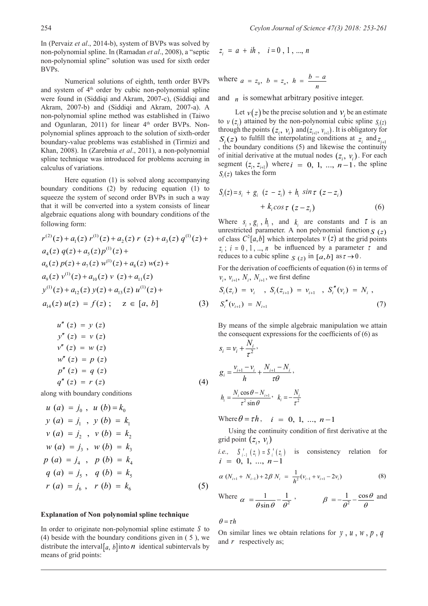In (Pervaiz *et al*., 2014-b), system of BVPs was solved by non-polynomial spline. In (Ramadan *et al*., 2008), a "septic non-polynomial spline" solution was used for sixth order BVPs.

 Numerical solutions of eighth, tenth order BVPs and system of  $4<sup>th</sup>$  order by cubic non-polynomial spline were found in (Siddiqi and Akram, 2007-c), (Siddiqi and Akram, 2007-b) and (Siddigi and Akram, 2007-a). A non-polynomial spline method was established in (Taiwo and Ogunlaran,  $2011$ ) for linear  $4<sup>th</sup>$  order BVPs. Nonpolynomial splines approach to the solution of sixth-order boundary-value problems was established in (Tirmizi and Khan, 2008). In (Zarebnia *et al*., 2011), a non-polynomial spline technique was introduced for problems accruing in calculus of variations.

 Here equation (1) is solved along accompanying boundary conditions (2) by reducing equation (1) to squeeze the system of second order BVPs in such a way that it will be converted into a system consists of linear algebraic equations along with boundary conditions of the following form:

$$
r^{(2)}(z) + a_1(z) r^{(1)}(z) + a_2(z) r (z) + a_3(z) q^{(1)}(z) +
$$
 of class  $C^2[a, b]$  which interpolates  $v(z)$  at the grid points  
\n $a_4(z) q(z) + a_5(z) p^{(1)}(z) +$   
\n $a_6(z) p(z) + a_7(z) w^{(1)}(z) + a_8(z) w(z) +$   
\n $a_9(z) v^{(1)}(z) + a_{10}(z) v (z) + a_{11}(z)$   
\n $v^{(1)}(z) + a_{12}(z) y(z) + a_{13}(z) u^{(1)}(z) +$   
\n $v^{(1)}(z) + a_{12}(z) y(z) + a_{13}(z) u^{(1)}(z) +$   
\n $v^{(1)}(z) + a_{12}(z) y(z) + a_{13}(z) u^{(1)}(z) +$   
\n $v^{(1)}(z) + a_{12}(z) y(z) + a_{13}(z) u^{(1)}(z) +$   
\n $v^{(1)}(z) + a_{13}(z) u^{(1)}(z) +$   
\n $v^{(1)}(z) + a_{12}(z) y(z) + a_{13}(z) u^{(1)}(z) +$   
\n $v^{(1)}(z) + a_{13}(z) u^{(1)}(z) +$   
\n $v^{(1)}(z) + a_{12}(z) y(z) + a_{13}(z) u^{(1)}(z) +$   
\n $v^{(1)}(z) + a_{13}(z) u^{(1)}(z) +$   
\n $v^{(1)}(z) + a_{13}(z) u^{(1)}(z) +$   
\n $v^{(1)}(z) + a_{13}(z) u^{(1)}(z) +$   
\n $v^{(1)}(z) + a_{13}(z) u^{(1)}(z) +$   
\n $v^{(1)}(z) + a_{13}(z) u^{(1)}(z) +$   
\n $v^{(1)}(z) + a_{13}(z) u^{(1)}(z) +$   
\n $v^{(1)}(z) + a_{11}(z) u^{(1)}(z) +$   
\n $v^{(1)}$ 

$$
u''(z) = y(z)
$$
  
\n
$$
y''(z) = v(z)
$$
  
\n
$$
v''(z) = w(z)
$$
  
\n
$$
w''(z) = p(z)
$$
  
\n
$$
p''(z) = q(z)
$$
  
\n
$$
q''(z) = r(z)
$$
\n(4)

along with boundary conditions

$$
u (a) = j_0, u (b) = k_0
$$
  
\n
$$
y (a) = j_1, y (b) = k_1
$$
  
\n
$$
v (a) = j_2, v (b) = k_2
$$
  
\n
$$
w (a) = j_3, w (b) = k_3
$$
  
\n
$$
p (a) = j_4, p (b) = k_4
$$
  
\n
$$
q (a) = j_5, q (b) = k_5
$$
  
\n
$$
r (a) = j_6, r (b) = k_6
$$
\n(5)

#### **Explanation of Non-polynomial spline technique**

In order to originate non-polynomial spline estimate *S* to (4) beside with the boundary conditions given in  $(5)$ , we distribute the interval  $[a, b]$  into *n* identical subintervals by means of grid points:

$$
z_i = a + ih
$$
,  $i = 0, 1, ..., n$ 

where 
$$
a = z_0
$$
,  $b = z_n$ ,  $h = \frac{b-a}{n}$ 

and  $\eta$  is somewhat arbitrary positive integer.

Let  $v(z)$  be the precise solution and  $v<sub>i</sub>$  be an estimate to  $v(z)$  attained by the non-polynomial cubic spline  $S(z)$ through the points  $(z_i, v_i)$  and  $(z_{i+1}, v_{i+1})$ . It is obligatory for  $S_z(z)$  to fulfill the interpolating conditions at  $z_i$  and  $z_{i+1}$ , the boundary conditions (5) and likewise the continuity of initial derivative at the mutual nodes  $(z_i, v_i)$ . For each segment  $(z_i, z_{i+1})$  where  $i = 0, 1, ..., n-1$ , the spline  $S(z)$  takes the form

$$
S_i(z) = s_i + g_i (z - z_i) + h_i \sin \tau (z - z_i)
$$
  
+ 
$$
k_i \cos \tau (z - z_i)
$$
 (6)

 $r^{(2)}(z) + a_1(z) r^{(1)}(z) + a_2(z) r(z) + a_3(z) q^{(1)}(z)$  of class  $C^2[a,b]$  which interpolates  $v(z)$  at the grid points  $a_4(z) q(z) + a_5(z) p^{(1)}(z)$  +  $z_i$ ;  $i = 0, 1, ..., n$  be influenced by a parameter  $\tau$  and reduces to a subjective subjective in  $[1, 2, 3, 6]$ Where  $s_i$ ,  $g_i$ ,  $h_i$ , and  $k_i$  are constants and  $\tau$  is an unrestricted parameter. A non-polynomial function  $S(z)$ 

$$
a_{12}(z) y(z) + a_{13}(z) u^{(1)}(z) + S_i(z_i) = v_i, S_i(z_{i+1}) = v_{i+1}, S_i''(v_i) = N_i,
$$
  
(z) = f(z); z \in [a, b] (3)  $S_i''(v_{i+1}) = N_{i+1}$  (7)

By means of the simple algebraic manipulation we attain the consequent expressions for the coefficients of (6) as

$$
s_i = v_i + \frac{N_i}{\tau^2},
$$
  
\n
$$
g_i = \frac{v_{i+1} - v_i}{h} + \frac{N_{i+1} - N_i}{\tau \theta},
$$
  
\n
$$
h_i = \frac{N_i \cos \theta - N_{i+1}}{\tau^2 \sin \theta}, \quad k_i = -\frac{N_i}{\tau^2}
$$

Where  $\theta = \tau h$ ,  $i = 0, 1, ..., n-1$ 

 Using the continuity condition of first derivative at the grid point  $(z_i, v_i)$ 

*i.e.*, 
$$
S'_{i-1}(z_i) = S'_i(z_i)
$$
 is consistency relation for  $i = 0, 1, ..., n-1$ 

$$
\alpha (N_{i+1} + N_{i-1}) + 2\beta N_i = \frac{1}{h^2} (v_{i-1} + v_{i+1} - 2v_i)
$$
 (8)

Where 
$$
\alpha = \frac{1}{\theta \sin \theta} - \frac{1}{\theta^2}
$$
,  $\beta = -\frac{1}{\theta^2} - \frac{\cos \theta}{\theta}$  and

 $\theta = \tau h$ 

On similar lines we obtain relations for  $y$ ,  $u$ ,  $w$ ,  $p$ ,  $q$  and  $r$  respectively as;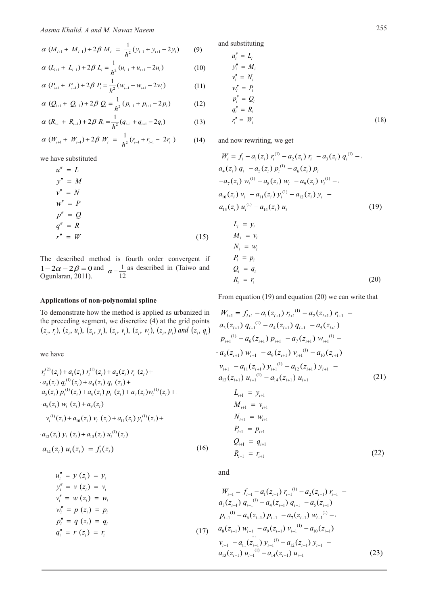$$
\alpha (M_{i+1} + M_{i-1}) + 2\beta M_i = \frac{1}{h^2}(y_{i-1} + y_{i+1} - 2y_i)
$$
 (9) and substituting  
\n $u_i'' = L_i$ 

$$
\alpha (L_{i+1} + L_{i-1}) + 2\beta L_i = \frac{1}{h^2} (u_{i-1} + u_{i+1} - 2u_i)
$$
 (10) 
$$
y''_i = M_i
$$

$$
y''_i = N_i
$$

$$
\alpha (P_{i+1} + P_{i-1}) + 2\beta P_i = \frac{1}{h^2} (w_{i-1} + w_{i+1} - 2w_i)
$$
 (11) 
$$
\begin{aligned}\nw_i^2 &= P_i \\
w_i^2 &= P_i\n\end{aligned}
$$

$$
\alpha (Q_{i+1} + Q_{i-1}) + 2\beta Q_i = \frac{1}{h^2}(p_{i-1} + p_{i+1} - 2p_i)
$$
 (12) 
$$
\begin{aligned}\np_i'' &= Q_i \\
q_i'' &= R_i\n\end{aligned}
$$

$$
\alpha (R_{i+1} + R_{i-1}) + 2\beta R_i = \frac{1}{h^2}(q_{i-1} + q_{i+1} - 2q_i)
$$
 (13) 
$$
r_i'' = W_i
$$

$$
\alpha (W_{i+1} + W_{i-1}) + 2\beta W_i = \frac{1}{h^2} (r_{i-1} + r_{i+1} - 2r_i)
$$
 (14) and now rewriting, we get

we have substituted

$$
u'' = L
$$
  
\n
$$
y'' = M
$$
  
\n
$$
u'' = N
$$
  
\n
$$
u'' = N
$$
  
\n
$$
u'' = P
$$
  
\n
$$
q'' = R
$$
  
\n
$$
u'' = W
$$
  
\n
$$
u'' = W
$$
  
\n
$$
u'' = W
$$
  
\n
$$
u'' = W
$$
  
\n
$$
u'' = W
$$
  
\n
$$
u'' = W
$$
  
\n
$$
u'' = W
$$
  
\n
$$
u'' = W
$$
  
\n
$$
u'' = W
$$
  
\n
$$
u'' = W
$$
  
\n
$$
u'' = W
$$
  
\n
$$
u'' = W
$$
  
\n
$$
u'' = W
$$
  
\n
$$
u'' = W
$$
  
\n
$$
u'' = W
$$
  
\n
$$
u'' = W
$$
  
\n
$$
u'' = W
$$
  
\n
$$
u'' = W
$$
  
\n
$$
u'' = W
$$
  
\n
$$
u'' = W
$$
  
\n
$$
u'' = W
$$
  
\n
$$
u'' = W
$$
  
\n
$$
u'' = W
$$
  
\n
$$
u'' = W
$$
  
\n
$$
u'' = W
$$
  
\n
$$
u'' = W
$$
  
\n
$$
u'' = W
$$
  
\n
$$
u'' = W
$$
  
\n
$$
u'' = W
$$
  
\n
$$
u'' = W
$$
  
\n
$$
u'' = W
$$
  
\n
$$
u'' = W
$$
  
\n
$$
u'' = W
$$
  
\n
$$
u'' = W
$$
  
\n
$$
u'' = W
$$
  
\n
$$
u'' = W
$$
  
\n
$$
u'' = W
$$
  
\n
$$
u'' = W
$$
  
\n
$$
u'' = W
$$
  
\n
$$
u'' = W
$$
  
\n
$$
u'' = W
$$
  
\n
$$
u'' = W
$$
<

The described method is fourth order convergent if  $1-2\alpha-2\beta = 0$  and  $\alpha = \frac{1}{12}$  as described in (Taiwo and Ogunlaran, 2011).

## **Applications of non-polynomial spline**

To demonstrate how the method is applied as urbanized in the preceding segment, we discretize (4) at the grid points  $a_3(z_{i+1}) q_{i+1}^{(1)} - a_4(z_{i+1}) q_{i+1}$  $(z_i, r_i)$ ,  $(z_i, u_i)$ ,  $(z_i, y_i)$ ,  $(z_i, v_i)$ ,  $(z_i, w_i)$ ,  $(z_i, p_i)$  and  $(z_i, q_i)$   $\begin{bmatrix} a_3(z_{i+1}) & q_{i+1} & a_4(z_{i+1}) & q_{i+1} & a_5(z_{i+1}) \end{bmatrix}$ (*z i*) (*z i*) (*z i*) (*z n*) (*z n*) and (*z a*)  $a_3(z_{i+1}) q_{i+1}^{(1)} - a_4(z_{i+1}) q_{i+1} - a_5(z_{i+1})$ + + ++ ++ + + + + +

we have

$$
r_i^{(2)}(z_i) + a_1(z_i) r_i^{(1)}(z_i) + a_2(z_i) r_i (z_i) +
$$
\n
$$
a_3(z_i) q_i^{(1)}(z_i) + a_4(z_i) q_i (z_i) +
$$
\n
$$
a_4(z_i) p_i^{(1)}(z_i) + a_5(z_i) p_i (z_i) + a_6(z_i) p_i (z_i) + a_7(z_i) w_i^{(1)}(z_i) +
$$
\n
$$
a_8(z_i) w_i (z_i) + a_9(z_i)
$$
\n
$$
v_i^{(1)}(z_i) + a_{10}(z_i) v_i (z_i) + a_{11}(z_i) y_i^{(1)}(z_i) +
$$
\n
$$
a_{12}(z_i) y_i (z_i) + a_{13}(z_i) u_i^{(1)}(z_i)
$$
\n
$$
a_{13}(z_{i+1}) d_{i+1} = v_{i+1}
$$
\n
$$
L_{i+1} = y_{i+1}
$$
\n
$$
M_{i+1} = v_{i+1}
$$
\n
$$
M_{i+1} = w_{i+1}
$$
\n
$$
m_{i+1} = w_{i+1}
$$
\n
$$
m_{i+1} = w_{i+1}
$$
\n
$$
m_{i+1} = w_{i+1}
$$
\n
$$
m_{i+1} = w_{i+1}
$$
\n
$$
m_{i+1} = w_{i+1}
$$
\n
$$
m_{i+1} = w_{i+1}
$$
\n
$$
m_{i+1} = w_{i+1}
$$
\n
$$
m_{i+1} = w_{i+1}
$$
\n
$$
m_{i+1} = w_{i+1}
$$
\n
$$
m_{i+1} = w_{i+1}
$$
\n
$$
m_{i+1} = w_{i+1}
$$
\n
$$
m_{i+1} = w_{i+1}
$$
\n
$$
m_{i+1} = w_{i+1}
$$
\n
$$
m_{i+1} = w_{i+1}
$$
\n
$$
m_{i+1} = w_{i+1}
$$
\n
$$
m_{i+1} = w_{i+1}
$$
\n
$$
m_{i+1} = w_{i+1}
$$
\n

$$
u_i'' = y (z_i) = y_i
$$
  
\n
$$
y_i'' = w (z_i) = w_i
$$
  
\n
$$
w_i'' = p (z_i) = p_i
$$
  
\n
$$
p_i'' = q (z_i) = q_i
$$
  
\n
$$
q_i'' = r (z_i) = r_i
$$
  
\n
$$
u_i'' = p (z_i) = q_i
$$
  
\n
$$
u_i'' = p (z_i) = q_i
$$
  
\n
$$
u_i'' = p (z_i) = q_i
$$
  
\n
$$
u_i'' = p (z_i) = q_i
$$
  
\n
$$
u_i'' = p (z_i) = q_i
$$
  
\n
$$
u_i'' = p (z_i) = r_i
$$
  
\n
$$
u_i = a_i (z_{i-1}) w_{i-1}^{(1)} - a_i (z_{i-1}) w_{i-1}^{(1)} - a_{i0} (z_{i-1})
$$
  
\n
$$
u_{i-1} = f_{i-1} - a_1 (z_{i-1}) r_{i-1}^{(1)} - a_2 (z_{i-1}) r_{i-1}
$$
  
\n
$$
u_{i-1} = f_{i-1} - a_1 (z_{i-1}) r_{i-1}^{(1)} - a_2 (z_{i-1}) r_{i-1}
$$
  
\n
$$
u_{i-1} = f_{i-1} - a_1 (z_{i-1}) r_{i-1}^{(1)} - a_2 (z_{i-1}) r_{i-1}
$$
  
\n
$$
u_{i-1} = f_{i-1} - a_1 (z_{i-1}) r_{i-1}^{(1)} - a_2 (z_{i-1}) r_{i-1}
$$
  
\n
$$
u_{i-1} = f_{i-1} - a_1 (z_{i-1}) r_{i-1}^{(1)} - a_2 (z_{i-1}) r_{i-1}
$$
  
\n
$$
u_{i-1} = f_{i-1} - a_1 (z_{i-1}) r_{i-1}^{(1)} - a_2 (z_{i-1}) r_{i-1}
$$
  
\n
$$
u_{i-1} = f_{i-1} - a_1 (z_{i-1}) r_{i-1}^{(1)} - a_2 (z_{i-1}) r_{i-1}
$$
  
\n

and substituting

$$
u_i'' = L_i
$$
  
\n
$$
y_i'' = M_i
$$
  
\n
$$
v_i'' = N_i
$$
  
\n
$$
w_i'' = P_i
$$
  
\n
$$
p_i'' = Q_i
$$
  
\n
$$
q_i'' = R_i
$$
  
\n
$$
r_i'' = W_i
$$
\n(18)

$$
W_i = f_i - a_1(z_i) r_i^{(1)} - a_2(z_i) r_i - a_3(z_i) q_i^{(1)} - a_4(z_i) q_i^{(2)} - a_5(z_i) p_i^{(3)} - a_6(z_i) p_i^{(4)} - a_7(z_i) w_i^{(1)} - a_8(z_i) w_i - a_9(z_i) v_i^{(1)} - a_8(z_i) w_i^{(2)} - a_{10}(z_i) v_i - a_{11}(z_i) y_i^{(1)} - a_{12}(z_i) y_i - a_{13}(z_i) u_i^{(1)} - a_{14}(z_i) u_i
$$
\n(19)

$$
L_i = y_i
$$
  
\n
$$
M_i = v_i
$$
  
\n
$$
N_i = w_i
$$
  
\n
$$
P_i = p_i
$$
  
\n
$$
Q_i = q_i
$$
  
\n
$$
R_i = r_i
$$
\n(20)

From equation (19) and equation (20) we can write that

how the method is applied as urbanized in  
\negment, we discretize (4) at the grid points  
\n(
$$
z_i
$$
,  $y_i$ ), ( $z_i$ ,  $w_i$ ), ( $z_i$ ,  $p_i$ ) and ( $z_i$ ,  $q_i$ )  
\n
$$
\begin{aligned}\na_3(z_{i+1}) q_{i+1}^{(1)} - a_4(z_{i+1}) q_{i+1} - a_5(z_{i+1}) \\
a_4(z_{i+1}) q_{i+1}^{(1)} - a_4(z_{i+1}) q_{i+1} - a_5(z_{i+1}) \\
b_1^{(1)} - a_6(z_{i+1}) p_{i+1} - a_7(z_{i+1}) w_{i+1}^{(1)} - a_8(z_{i+1}) w_{i+1}^{(1)} - a_9(z_{i+1}) \\
a_8(z_{i+1}) w_{i+1} - a_9(z_{i+1}) v_{i+1}^{(1)} - a_{10}(z_{i+1}) \\
v_{i+1}^{(1)} - a_{11}(z_{i+1}) y_{i+1}^{(1)} - a_{12}(z_{i+1}) y_{i+1} - a_{13}(z_{i}) q_i(z_i) + a_4(z_i) q_i(z_i) + a_5(z_i) w_i^{(1)}(z_i) + a_6(z_i) p_i(z_i) + a_7(z_i) w_i^{(1)}(z_i) + a_7(z_i) w_i^{(1)}(z_i) + a_7(z_i) w_i^{(1)}(z_i) + a_7(z_i) w_i^{(1)}(z_i) + a_7(z_i) w_i^{(1)}(z_i) + a_7(z_i) w_i^{(1)}(z_i) + a_7(z_i) w_i^{(1)}(z_i) + a_8(z_i) q_i(z_i) + a_7(z_i) w_i^{(1)}(z_i) + a_8(z_i) q_i(z_i) + a_7(z_i) w_i^{(1)}(z_i) + a_8(z_i) q_i(z_i) + a_9(z_i) q_i(z_i) + a_9(z_i) q_i(z_i) + a_9(z_i) q_i(z_i) + a_9(z_i) q_i(z_i) + a_9(z_i) q_i(z_i) + a_9(z_i) q_i(z_i) + a_9(z_i) q_i(z_i) + a_9(z_i) q_i(z_i) + a_9(z_i) q_i(z_i) + a_9(z_i) q_i(z_i) + a_9(z_i) q_i(z_i) + a_9(z_i) q_i(z_i) + a_9(z_i)
$$

$$
L_{i+1} = y_{i+1}
$$
  
\n
$$
M_{i+1} = v_{i+1}
$$
  
\n
$$
N_{i+1} = w_{i+1}
$$
  
\n
$$
P_{i+1} = p_{i+1}
$$
  
\n
$$
Q_{i+1} = q_{i+1}
$$
  
\n
$$
R_{i+1} = r_{i+1}
$$
\n(22)

and

$$
W_{i-1} = f_{i-1} - a_1(z_{i-1}) r_{i-1}^{(1)} - a_2(z_{i-1}) r_{i-1} - w_{i}
$$
  
\n
$$
a_3(z_{i-1}) q_{i-1}^{(1)} - a_4(z_{i-1}) q_{i-1} - a_5(z_{i-1})
$$
  
\n
$$
p_{i}
$$
  
\n
$$
p_{i-1}^{(1)} - a_6(z_{i-1}) p_{i-1} - a_7(z_{i-1}) w_{i-1}^{(1)} - w_{i}
$$
  
\n
$$
r_{i}
$$
  
\n(17) 
$$
a_8(z_{i-1}) w_{i-1} - a_9(z_{i-1}) v_{i-1}^{(1)} - a_{10}(z_{i-1})
$$
  
\n
$$
v_{i-1} - a_{11}(z_{i-1}) v_{i-1}^{(1)} - a_{12}(z_{i-1}) v_{i-1} - a_{13}(z_{i-1}) u_{i-1}
$$
  
\n
$$
a_{13}(z_{i-1}) u_{i-1}^{(1)} - a_{14}(z_{i-1}) u_{i-1}
$$
  
\n(23)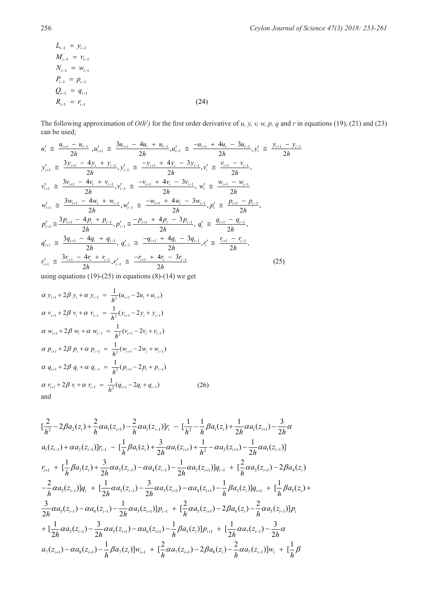$$
L_{i-1} = y_{i-1}
$$
  
\n
$$
M_{i-1} = v_{i-1}
$$
  
\n
$$
N_{i-1} = w_{i-1}
$$
  
\n
$$
P_{i-1} = p_{i-1}
$$
  
\n
$$
Q_{i-1} = q_{i-1}
$$
  
\n
$$
R_{i-1} = r_{i-1}
$$
\n(24)

The following approximation of  $O(h^2)$  for the first order derivative of *u, y, v, w, p, q* and *r* in equations (19), (21) and (23) can be used;

$$
u'_{i} \cong \frac{u_{i+1} - u_{i-1}}{2h}, u'_{i+1} \cong \frac{3u_{i+1} - 4u_{i} + u_{i-1}}{2h}, u'_{i-1} \cong \frac{-u_{i+1} + 4u_{i} - 3u_{i-1}}{2h}, y'_{i} \cong \frac{y_{i+1} - y_{i-1}}{2h}
$$
  
\n
$$
y'_{i+1} \cong \frac{3y_{i+1} - 4y_{i} + y_{i-1}}{2h}, y'_{i-1} \cong \frac{-y_{i+1} + 4y_{i} - 3y_{i-1}}{2h}, v'_{i} \cong \frac{v_{i+1} - v_{i-1}}{2h},
$$
  
\n
$$
v'_{i+1} \cong \frac{3v_{i+1} - 4v_{i} + v_{i-1}}{2h}, v'_{i-1} \cong \frac{-v_{i+1} + 4v_{i} - 3v_{i-1}}{2h}, w'_{i} \cong \frac{w_{i+1} - w_{i-1}}{2h}
$$
  
\n
$$
w'_{i+1} \cong \frac{3w_{i+1} - 4w_{i} + w_{i-1}}{2h}, w'_{i-1} \cong \frac{-w_{i+1} + 4w_{i} - 3w_{i-1}}{2h}, p'_{i} \cong \frac{p_{i+1} - p_{i-1}}{2h},
$$
  
\n
$$
p'_{i+1} \cong \frac{3p_{i+1} - 4p_{i} + p_{i-1}}{2h}, p'_{i-1} \cong \frac{-p_{i+1} + 4p_{i} - 3p_{i-1}}{2h}, q'_{i} \cong \frac{q_{i+1} - q_{i-1}}{2h},
$$
  
\n
$$
q'_{i+1} \cong \frac{3q_{i+1} - 4q_{i} + q_{i-1}}{2h}, q'_{i-1} \cong \frac{-q_{i+1} + 4q_{i} - 3q_{i-1}}{2h}, r'_{i} \cong \frac{r_{i+1} - r_{i-1}}{2h},
$$
  
\n
$$
r'_{i+1} \cong \frac{3r_{i+1} - 4r_{i} + r_{i
$$

using equations  $(19)-(25)$  in equations  $(8)-(14)$  we get

$$
\alpha y_{i+1} + 2\beta y_i + \alpha y_{i-1} = \frac{1}{h^2} (u_{i+1} - 2u_i + u_{i-1})
$$
  
\n
$$
\alpha y_{i+1} + 2\beta y_i + \alpha y_{i-1} = \frac{1}{h^2} (y_{i+1} - 2y_i + y_{i-1})
$$
  
\n
$$
\alpha w_{i+1} + 2\beta w_i + \alpha w_{i-1} = \frac{1}{h^2} (v_{i+1} - 2v_i + v_{i-1})
$$
  
\n
$$
\alpha p_{i+1} + 2\beta p_i + \alpha p_{i-1} = \frac{1}{h^2} (w_{i+1} - 2w_i + w_{i-1})
$$
  
\n
$$
\alpha q_{i+1} + 2\beta q_i + \alpha q_{i-1} = \frac{1}{h^2} (p_{i+1} - 2p_i + p_{i-1})
$$
  
\n
$$
\alpha r_{i+1} + 2\beta r_i + \alpha r_{i-1} = \frac{1}{h^2} (q_{i+1} - 2q_i + q_{i-1})
$$
  
\nand (26)

$$
[\frac{2}{h^2} - 2\beta a_2(z_i) + \frac{2}{h}\alpha a_1(z_{i+1}) - \frac{2}{h}\alpha a_1(z_{i-1})]r_i - [\frac{1}{h^2} - \frac{1}{h}\beta a_1(z_i) + \frac{1}{2h}\alpha a_1(z_{i+1}) - \frac{3}{2h}\alpha
$$
  
\n
$$
a_1(z_{i-1}) + \alpha a_2(z_{i-1})]r_{i-1} - [\frac{1}{h}\beta a_1(z_i) + \frac{3}{2h}\alpha a_1(z_{i+1}) + \frac{1}{h^2} - \alpha a_2(z_{i+1}) - \frac{1}{2h}\alpha a_1(z_{i-1})]
$$
  
\n
$$
r_{i+1} + [\frac{1}{h}\beta a_3(z_i) + \frac{3}{2h}\alpha a_3(z_{i-1}) - \alpha a_4(z_{i-1}) - \frac{1}{2h}\alpha a_3(z_{i+1})]q_{i-1} + [\frac{2}{h}\alpha a_3(z_{i+1}) - 2\beta a_4(z_i)
$$
  
\n
$$
-\frac{2}{h}\alpha a_3(z_{i-1})]q_i + [\frac{1}{2h}\alpha a_3(z_{i-1}) - \frac{3}{2h}\alpha a_3(z_{i+1}) - \alpha a_4(z_{i+1}) - \frac{1}{h}\beta a_3(z_i)]q_{i+1} + [\frac{1}{h}\beta a_5(z_i) + \frac{3}{2h}\alpha a_5(z_{i-1}) - \frac{1}{2h}\alpha a_5(z_{i+1})]p_{i-1} + [\frac{2}{h}\alpha a_5(z_{i+1}) - 2\beta a_6(z_i) - \frac{2}{h}\alpha a_5(z_{i-1})]p_i
$$
  
\n
$$
+ [\frac{1}{2h}\alpha a_5(z_{i-1}) - \frac{3}{2h}\alpha a_5(z_{i+1}) - \alpha a_6(z_{i+1}) - \frac{1}{h}\beta a_5(z_i)]p_{i+1} + [\frac{1}{2h}\alpha a_7(z_{i-1}) - \frac{3}{2h}\alpha a_5(z_{i+1}) - \alpha a_8(z_{i+1}) - \frac{1}{h}\beta a_7(z_{i+1}) - \alpha a_8(z_{i+1}) - \frac{1}{h}\beta a_7(z_{i+1}) - \frac{2}{h}\alpha a_7(z_{i+1})]
$$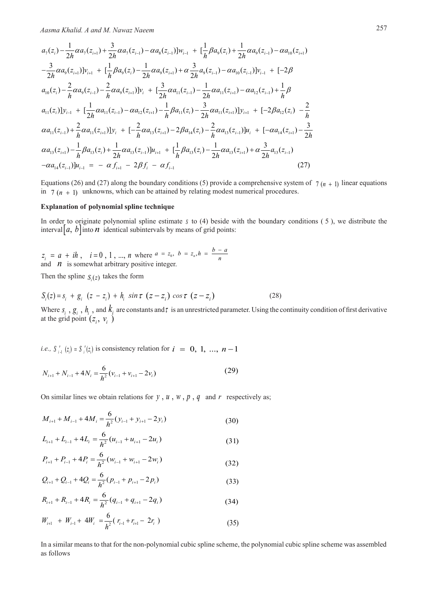$$
a_{7}(z_{i}) - \frac{1}{2h}\alpha a_{7}(z_{i+1}) + \frac{3}{2h}\alpha a_{7}(z_{i-1}) - \alpha a_{8}(z_{i-1})]w_{i-1} + \left[\frac{1}{h}\beta a_{9}(z_{i}) + \frac{1}{2h}\alpha a_{9}(z_{i-1}) - \alpha a_{10}(z_{i+1})\right]w_{i-1} + \left[\frac{3}{h}\beta a_{9}(z_{i-1}) - \frac{3}{2h}\alpha a_{9}(z_{i-1})\right]w_{i-1} + \left[-2\beta a_{9}(z_{i-1})\right]w_{i-1} + \left[-2\beta a_{9}(z_{i-1})\right]w_{i-1} + \left[-2\beta a_{9}(z_{i-1}) - \frac{2}{h}\alpha a_{9}(z_{i-1})\right]w_{i} + \left[\frac{3}{2h}\alpha a_{11}(z_{i-1}) - \frac{1}{2h}\alpha a_{11}(z_{i-1}) - \alpha a_{12}(z_{i-1}) + \frac{1}{h}\beta a_{11}(z_{i})\right]w_{i-1} + \left[-2\beta a_{12}(z_{i-1}) - \frac{2}{h}\alpha a_{11}(z_{i-1})\right]w_{i-1} + \left[-2\beta a_{12}(z_{i}) - \frac{2}{h}\alpha a_{11}(z_{i-1})\right]w_{i-1} + \left[-2\beta a_{12}(z_{i}) - \frac{2}{h}\alpha a_{11}(z_{i-1}) + \frac{2}{h}\alpha a_{11}(z_{i-1})\right]y_{i} + \left[-2\alpha a_{13}(z_{i-1})\right]w_{i-1} + \left[-2\alpha a_{14}(z_{i-1}) - \frac{3}{h}\alpha a_{13}(z_{i-1})\right]w_{i} + \left[-2\alpha a_{14}(z_{i-1}) - \frac{3}{h}\alpha a_{13}(z_{i-1})\right]w_{i-1} + \left[-\frac{3}{h}\beta a_{13}(z_{i-1})\right]w_{i-1} + \left[-\frac{3}{h}\beta a_{13}(z_{i-1})\right]w_{i-1} - \alpha a_{14}(z_{i-1})\right]w_{i-1} = -\alpha f_{i+1} - 2\beta f_{i} - \alpha f_{i-1}
$$
\n(27)

Equations (26) and (27) along the boundary conditions (5) provide a comprehensive system of  $\frac{1}{7}$  ( $n + 1$ ) linear equations in  $7 (n + 1)$  unknowns, which can be attained by relating modest numerical procedures.

### Explanation of polynomial spline technique

In order to originate polynomial spline estimate  $s$  to (4) beside with the boundary conditions (5), we distribute the interval  $\left| a, b \right|$  into  $\boldsymbol{n}$  identical subintervals by means of grid points:

 $z_i = a + ih$ ,  $i = 0, 1, ..., n$  where  $a = z_0$ ,  $b = z_n$ ,  $h = \frac{b - a}{n}$ and  $\eta$  is somewhat arbitrary positive integer.

Then the spline  $S_i(z)$  takes the form

$$
S_i(z) = s_i + g_i \left( z - z_i \right) + h_i \sin \tau \left( z - z_i \right) \cos \tau \left( z - z_i \right) \tag{28}
$$

Where  $s_i$ ,  $g_i$ ,  $h_i$ , and  $k_j$  are constants and  $\tau$  is an unrestricted parameter. Using the continuity condition of first derivative at the grid point  $(z_i, v_i)$ 

*i.e.*,  $S_{i}^{'}(z_i) = S_i^{'}(z_i)$  is consistency relation for  $i = 0, 1, ..., n - 1$ 

$$
N_{i+1} + N_{i-1} + 4N_i = \frac{6}{h^2} (v_{i-1} + v_{i+1} - 2v_i)
$$
 (29)

On similar lines we obtain relations for  $y$ ,  $u$ ,  $w$ ,  $p$ ,  $q$  and  $r$  respectively as;

$$
M_{i+1} + M_{i-1} + 4M_i = \frac{6}{h^2}(y_{i-1} + y_{i+1} - 2y_i)
$$
 (30)

$$
L_{i+1} + L_{i-1} + 4L_i = \frac{6}{h^2}(u_{i-1} + u_{i+1} - 2u_i)
$$
 (31)

$$
P_{i+1} + P_{i-1} + 4P_i = \frac{6}{h^2} (w_{i-1} + w_{i+1} - 2w_i)
$$
 (32)

$$
Q_{i+1} + Q_{i-1} + 4Q_i = \frac{6}{h^2}(p_{i-1} + p_{i+1} - 2p_i)
$$
\n(33)

$$
R_{i+1} + R_{i-1} + 4R_i = \frac{6}{h^2}(q_{i-1} + q_{i+1} - 2q_i)
$$
 (34)

$$
W_{i+1} + W_{i-1} + 4W_i = \frac{6}{h^2} (r_{i-1} + r_{i+1} - 2r_i)
$$
 (35)

In a similar means to that for the non-polynomial cubic spline scheme, the polynomial cubic spline scheme was assembled as follows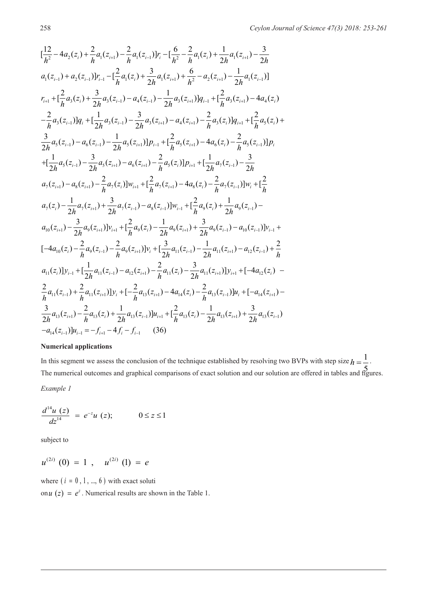$$
\begin{split}\n&\frac{12}{h^2}-4a_2(z_i)+\frac{2}{h}a_1(z_{i+1})-\frac{2}{h}a_1(z_{i-1})[r_i-[\frac{6}{h^2}-\frac{2}{h}a_1(z_i)+\frac{1}{2h}a_1(z_{i+1})-\frac{3}{2h}\\
&a_1(z_{i-1})+a_2(z_{i-1})[r_{i-1}-[\frac{2}{h}a_1(z_i)+\frac{3}{2h}a_1(z_{i+1})+\frac{6}{h^2}-a_2(z_{i+1})-\frac{1}{2h}a_1(z_{i-1})]\\
&r_{i+1}+[\frac{2}{h}a_3(z_i)+\frac{3}{2h}a_3(z_{i-1})-a_4(z_{i-1})-\frac{1}{2h}a_3(z_{i+1})]q_{i-1}+[\frac{2}{h}a_3(z_{i+1})-4a_4(z_i)\\&-\frac{2}{h}a_3(z_{i-1})]q_i+[\frac{1}{2h}a_3(z_{i-1})-\frac{3}{2h}a_3(z_{i+1})-a_4(z_{i+1})-\frac{2}{h}a_3(z_i)]q_{i+1}+[\frac{2}{h}a_5(z_i)+\frac{3}{2h}a_5(z_{i-1})-a_6(z_{i-1})-\frac{1}{2h}a_5(z_{i+1})]p_{i-1}+[\frac{2}{h}a_5(z_{i+1})-4a_6(z_i)-\frac{2}{h}a_5(z_{i-1})]p_i\\&+\left[\frac{1}{2h}a_5(z_{i-1})-\frac{3}{2h}a_5(z_{i+1})-a_6(z_{i+1})-\frac{2}{h}a_5(z_{i+1})-4a_6(z_i)-\frac{2}{h}a_5(z_{i-1})]p_i\right.\\
&+\left[\frac{1}{2h}a_5(z_{i-1})-\frac{3}{2h}a_5(z_{i+1})-a_6(z_{i+1})-\frac{2}{h}a_5(z_{i})]p_{i+1}+[\frac{1}{2h}a_7(z_{i-1})-\frac{3}{2h}a_7(z_{i-1})-\frac{3}{2h}a_7(z_{i-1})-\frac{3}{2h}a_7(z_{i+1})+\frac{3}{2h}a_7(z_{i-1})-a_8(z_{i-1})]w_i+\left[\frac
$$

# **Numerical applications**

In this segment we assess the conclusion of the technique established by resolving two BVPs with step size  $h = \frac{1}{n}$  $\frac{5}{3}$  $h=\frac{1}{7}$ . The numerical outcomes and graphical comparisons of exact solution and our solution are offered in tables and figures. *Example 1*

$$
\frac{d^{14}u(z)}{dz^{14}} = e^{-z}u(z); \qquad 0 \le z \le 1
$$

subject to

$$
u^{(2i)}(0) = 1 , u^{(2i)}(1) = e
$$

where  $(i = 0, 1, ..., 6)$  with exact soluti

on  $u(z) = e^z$ . Numerical results are shown in the Table 1.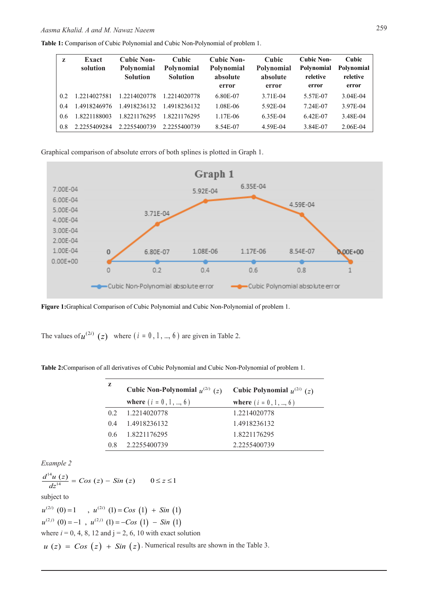|  | <b>Table 1:</b> Comparison of Cubic Polynomial and Cubic Non-Polynomial of problem 1. |  |
|--|---------------------------------------------------------------------------------------|--|
|  |                                                                                       |  |

| Z   | Exact<br>solution | <b>Cubic Non-</b><br><b>Polynomial</b><br><b>Solution</b> | <b>Cubic</b><br>Polynomial<br><b>Solution</b> | <b>Cubic Non-</b><br>Polynomial<br>absolute<br>error | <b>Cubic</b><br>Polynomial<br>absolute<br>error | <b>Cubic Non-</b><br>Polynomial<br>reletive<br>error | Cubic<br>Polynomial<br>reletive<br>error |
|-----|-------------------|-----------------------------------------------------------|-----------------------------------------------|------------------------------------------------------|-------------------------------------------------|------------------------------------------------------|------------------------------------------|
| 0.2 | 1.2214027581      | 1.2214020778                                              | 1.2214020778                                  | 6.80E-07                                             | 3.71E-04                                        | 5.57E-07                                             | 3.04E-04                                 |
| 0.4 | 1.4918246976      | 1.4918236132                                              | 1.4918236132                                  | 1.08E-06                                             | 5.92E-04                                        | 7.24E-07                                             | 3.97E-04                                 |
| 0.6 | 1.8221188003      | 1.8221176295                                              | 1.8221176295                                  | 1.17E-06                                             | 6.35E-04                                        | 6.42E-07                                             | 3.48E-04                                 |
| 0.8 | 2.2255409284      | 2.2255400739                                              | 2.2255400739                                  | 8.54E-07                                             | 4.59E-04                                        | 3.84E-07                                             | 2.06E-04                                 |

Graphical comparison of absolute errors of both splines is plotted in Graph 1.



**Figure 1:**Graphical Comparison of Cubic Polynomial and Cubic Non-Polynomial of problem 1.

The values of  $u^{(2i)}$  (z) where  $(i = 0, 1, ..., 6)$  are given in Table 2.

| z   | Cubic Non-Polynomial $u^{(2i)}(z)$ | Cubic Polynomial $u^{(2i)}$ (z) |
|-----|------------------------------------|---------------------------------|
|     | where $(i = 0, 1, , 6)$            | <b>where</b> $(i = 0, 1, , 6)$  |
| 0.2 | 1.2214020778                       | 1.2214020778                    |
| 04  | 1.4918236132                       | 1.4918236132                    |
| 06  | 1.8221176295                       | 1.8221176295                    |
| 08  | 2.2255400739                       | 2.2255400739                    |

*Example 2*

 $\frac{d^{14}u(z)}{dz^{14}} = Cos (z) - Sin (z) \qquad 0 \le z \le 1$ subject to  $u^{(2i)}$  (0) = 1,  $u^{(2i)}$  (1) = Cos (1) + Sin (1)  $u^{(2j)}(0) = -1$ ,  $u^{(2j)}(1) = -\cos(1) - \sin(1)$ where  $i = 0, 4, 8, 12$  and  $j = 2, 6, 10$  with exact solution  $u(z) = Cos (z) + Sin (z)$ . Numerical results are shown in the Table 3.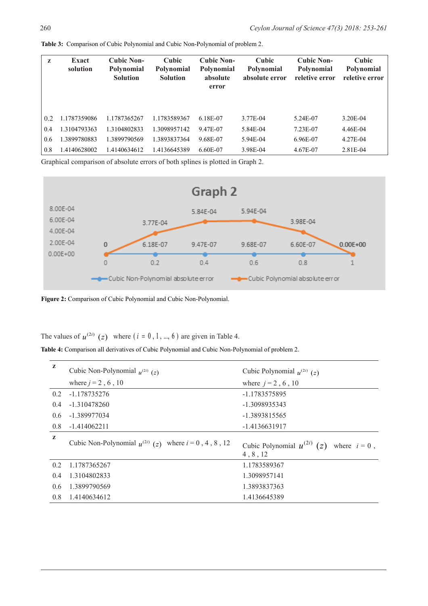| z   | <b>Exact</b><br>solution | <b>Cubic Non-</b><br><b>Polynomial</b><br><b>Solution</b> | Cubic<br><b>Polynomial</b><br><b>Solution</b> | <b>Cubic Non-</b><br><b>Polynomial</b><br>absolute<br>error | Cubic<br><b>Polynomial</b><br>absolute error | <b>Cubic Non-</b><br><b>Polynomial</b><br>reletive error | Cubic<br>Polynomial<br>reletive error |
|-----|--------------------------|-----------------------------------------------------------|-----------------------------------------------|-------------------------------------------------------------|----------------------------------------------|----------------------------------------------------------|---------------------------------------|
| 02  | 1.1787359086             | 1.1787365267                                              | 1.1783589367                                  | 6.18E-07                                                    | 3.77E-04                                     | 5.24E-07                                                 | 3.20E-04                              |
| 0.4 | 1.3104793363             | 1.3104802833                                              | 1.3098957142                                  | 9.47E-07                                                    | 5.84E-04                                     | 7.23E-07                                                 | 4.46E-04                              |
| 0.6 | .3899780883              | 1.3899790569                                              | 1.3893837364                                  | 9.68E-07                                                    | 5.94E-04                                     | 6.96E-07                                                 | 4.27E-04                              |
| 0.8 | 1.4140628002             | 1.4140634612                                              | 1.4136645389                                  | 6.60E-07                                                    | 3.98E-04                                     | 4.67E-07                                                 | 2.81E-04                              |

**Table 3:** Comparison of Cubic Polynomial and Cubic Non-Polynomial of problem 2.

Graphical comparison of absolute errors of both splines is plotted in Graph 2.



**Figure 2:** Comparison of Cubic Polynomial and Cubic Non-Polynomial.

The values of  $u^{(2i)}$  (z) where  $(i = 0, 1, ..., 6)$  are given in Table 4.

**Table 4:** Comparison all derivatives of Cubic Polynomial and Cubic Non-Polynomial of problem 2.

| z   | Cubic Non-Polynomial $u^{(2i)}(z)$                         | Cubic Polynomial $u^{(2i)}$ (z)                                   |
|-----|------------------------------------------------------------|-------------------------------------------------------------------|
|     | where $j = 2, 6, 10$                                       | where $j = 2, 6, 10$                                              |
| 0.2 | -1.178735276                                               | -1.1783575895                                                     |
| 0.4 | $-1.310478260$                                             | -1.3098935343                                                     |
| 0.6 | -1.389977034                                               | -1.3893815565                                                     |
| 0.8 | $-1.414062211$                                             | -1.4136631917                                                     |
|     |                                                            |                                                                   |
| z   | Cubic Non-Polynomial $u^{(2i)}(z)$ where $i = 0, 4, 8, 12$ | Cubic Polynomial $u^{(2i)}$<br>(z)<br>where $i = 0$ ,<br>4, 8, 12 |
| 0.2 | 1.1787365267                                               | 1.1783589367                                                      |
| 0.4 | 1.3104802833                                               | 1.3098957141                                                      |
| 0.6 | 1.3899790569                                               | 1.3893837363                                                      |